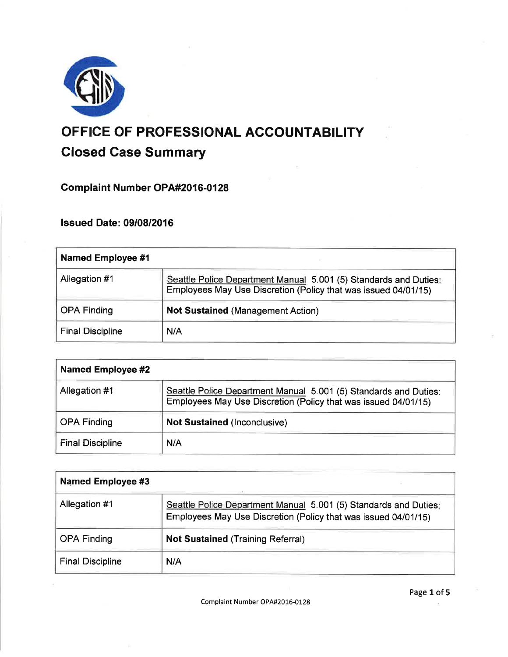

# OFFICE OF PROFESSIONAL ACCOUNTABILITY

# Closed Case Summary

Complaint Number OP A#2016-0128

lssued Date: 09/08/201 6

| Named Employee #1       |                                                                                                                                    |
|-------------------------|------------------------------------------------------------------------------------------------------------------------------------|
| Allegation #1           | Seattle Police Department Manual 5.001 (5) Standards and Duties:<br>Employees May Use Discretion (Policy that was issued 04/01/15) |
| <b>OPA Finding</b>      | <b>Not Sustained (Management Action)</b>                                                                                           |
| <b>Final Discipline</b> | N/A                                                                                                                                |

| <b>Named Employee #2</b> |                                                                                                                                    |
|--------------------------|------------------------------------------------------------------------------------------------------------------------------------|
| Allegation #1            | Seattle Police Department Manual 5.001 (5) Standards and Duties:<br>Employees May Use Discretion (Policy that was issued 04/01/15) |
| <b>OPA Finding</b>       | <b>Not Sustained (Inconclusive)</b>                                                                                                |
| <b>Final Discipline</b>  | N/A                                                                                                                                |

| <b>Named Employee #3</b> |                                                                                                                                    |  |
|--------------------------|------------------------------------------------------------------------------------------------------------------------------------|--|
| Allegation #1            | Seattle Police Department Manual 5.001 (5) Standards and Duties:<br>Employees May Use Discretion (Policy that was issued 04/01/15) |  |
| <b>OPA Finding</b>       | <b>Not Sustained (Training Referral)</b>                                                                                           |  |
| <b>Final Discipline</b>  | N/A                                                                                                                                |  |

Page 1 of 5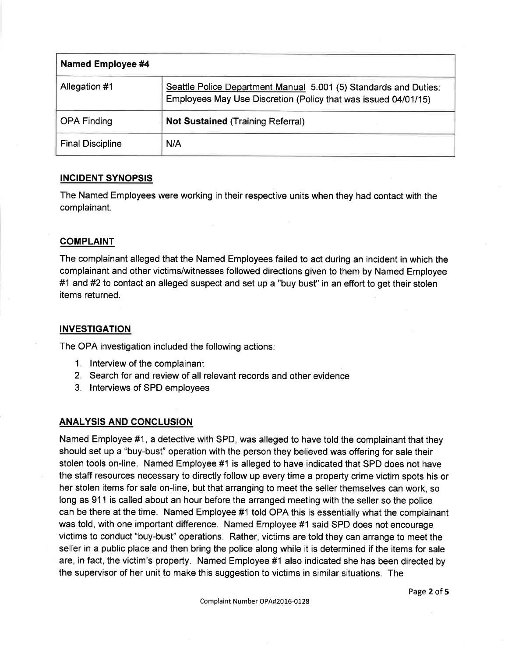| <b>Named Employee #4</b> |                                                                                                                                    |
|--------------------------|------------------------------------------------------------------------------------------------------------------------------------|
| Allegation #1            | Seattle Police Department Manual 5.001 (5) Standards and Duties:<br>Employees May Use Discretion (Policy that was issued 04/01/15) |
| OPA Finding              | <b>Not Sustained (Training Referral)</b>                                                                                           |
| <b>Final Discipline</b>  | N/A                                                                                                                                |

# INCIDENT SYNOPSIS

The Named Employees were working in their respective units when they had contact with the complainant.

## **COMPLAINT**

The complainant alleged that the Named Employees failed to act during an incident in which the complainant and other victims/witnesses followed directions given to them by Named Employee #1 and #2 to contact an alleged suspect and set up a "buy bust" in an effort to get their stolen items returned.

#### **INVESTIGATION**

The OPA investigation included the following actions:

- 1. lnterview of the complainant
- 2. Search for and review of all relevant records and other evidence
- 3. lnterviews of SPD employees

# ANALYSIS AND CONCLUSION

Named Employee #1, a detective with SPD, was alleged to have told the complainant that they should set up a "buy-bust" operation with the person they believed was offering for sale their stolen tools on-line. Named Employee #1 is alleged to have indicated that SPD does not have the staff resources necessary to directly follow up every time a property crime victim spots his or her stolen items for sale on-line, but that arranging to meet the seller themselves can work, so long as 911 is called about an hour before the arranged meeting with the seller so the police can be there at the time. Named Employee #1 told OPA this is essentially what the complainant was told, with one important difference. Named Employee #1 said SPD does not encourage victims to conduct "buy-bust" operations. Rather, victims are told they can arrange to meet the seller in a public place and then bring the police along while it is determined if the items for sale are, in fact, the victim's property. Named Employee #1 also indicated she has been directed by the supervisor of her unit to make this suggestion to victims in similar situations. The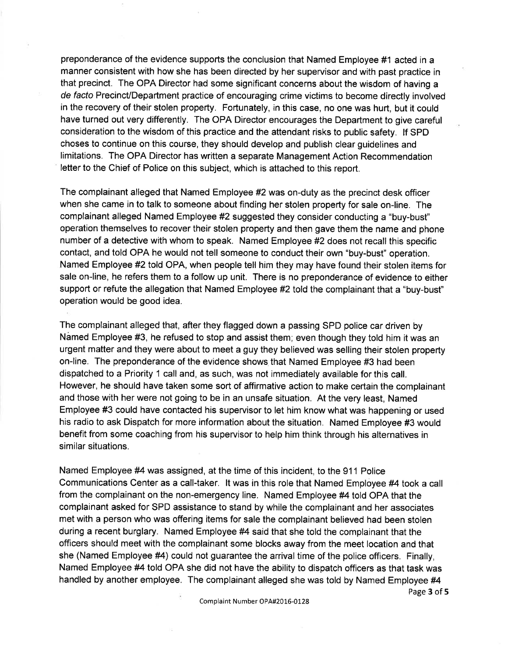preponderance of the evidence supports the conclusion that Named Employee #1 acted in a manner consistent with how she has been directed by her supervisor and with past practice in that precinct. The OPA Director had some significant concerns about the wisdom of having <sup>a</sup> de facto PrecincVDepartment practice of encouraging crime victims to become directly involved in the recovery of their stolen property. Fortunately, in this case, no one was hurt, but it could have turned out very differently. The OPA Director encourages the Department to give careful consideration to the wisdom of this practice and the attendant risks to public safety. lf SPD choses to continue on this course, they should develop and publish clear guidelines and limitations. The OPA Director has written a separate Management Action Recommendation letter to the Chief of Police on this subject, which is attached to this report.

The complainant alleged that Named Employee #2 was on-duty as the precinct desk officer when she came in to talk to someone about finding her stolen property for sale on-line. The complainant alleged Named Employee #2 suggested they consider conducting a "buy-bust" operation themselves to recover their stolen property and then gave them the name and phone number of a detective with whom to speak. Named Employee #2 does not recall this specific contact, and told OPA he would not tell someone to conduct their own "buy-bust" operation. Named Employee #2 told OPA, when people tell him they may have found their stolen items for sale on-line, he refers them to a follow up unit. There is no preponderance of evidence to either support or refute the allegation that Named Employee #2 told the complainant that a "buy-bust" operation would be good idea.

The complainant alleged that, after they flagged down a passing SPD police car driven by Named Employee #3, he refused to stop and assist them; even though they told him it was an urgent matter and they were about to meet a guy they believed was selling their stolen property on-line. The preponderance of the evidence shows. that Named Employee #3 had been dispatched to a Priority 1 call and, as such, was not immediately available for this call. However, he should have taken some sort of affirmative action to make certain the complainant and those with her were not going to be in an unsafe situation. At the very least, Named Employee #3 could have contacted his supervisor to let him know what was happening or used his radio to ask Dispatch for more information about the situation. Named Employee #3 would benefit from some coaching from his supervisor to help him think through his alternatives in similar situations.

Named Employee #4 was assigned, at the time of this incident, to the 911 Police Communications Center as a call-taker. lt was in this role that Named Employee #4 took a call from the complainant on the non-emergency line. Named Employee #4 told OPA that the complainant asked for SPD assistance to stand by while the complainant and her associates met with a person who was offering items for sale the complainant believed had been stolen during a recent burglary. Named Employee #4 said that she told the complainant that the officers should meet with the complainant some blocks away from the meet location and that she (Named Employee #4) could not guarantee the arrival time of the police officers. Finally, Named Employee #4 told OPA she did not have the ability to dispatch officers as that task was handled by another employee. The complainant alleged she was told by Named Employee #4

Page 3 of 5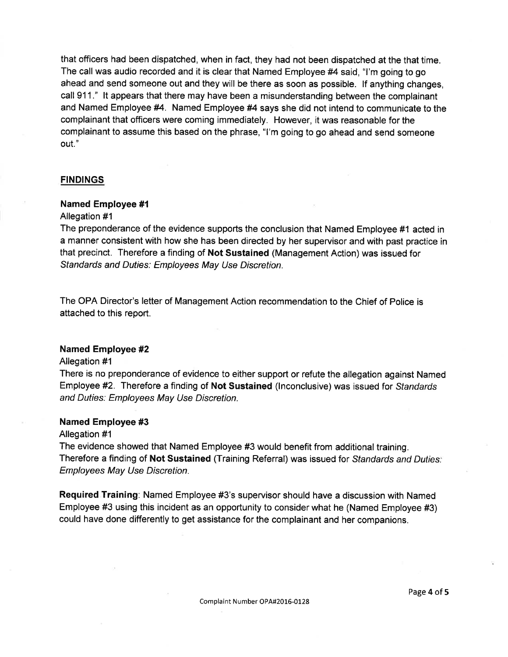that officers had been dispatched, when in fact, they had not been dispatched at the that time. The call was audio recorded and it is clear that Named Employee #4 said, "l'm going to go ahead and send someone out and they will be there as soon as possible. lf anything changes, call 911." It appears that there may have been a misunderstanding between the complainant and Named Employee #4. Named Employee #4 says she did not intend to communicate to the complainant that officers were coming immediately. However, it was reasonable for the complainant to assume this based on the phrase, "l'm going to go ahead and send someone out."

#### FINDINGS

#### Named Employee #1

#### Allegation #1

The preponderance of the evidence supports the conclusion that Named Employee #1 acted in a manner consistent with how she has been directed by her supervisor and with past practice in that precinct. Therefore a finding of Not Sustained (Management Action) was issued for Sfandards and Duties: Employees May Use Discretion.

The OPA Director's letter of Management Action recommendation to the Chief of Police is attached to this report.

#### Named Employee #2

#### Allegation #1

There is no preponderance of evidence to either support or refute the allegation against Named Employee #2. Therefore a finding of Not Sustained (lnconclusive) was issued for Standards and Duties: Employees May Use Discretion.

#### Named Employee #3

#### Allegation #1

The evidence showed that Named Employee #3 would benefit from additional training. Therefore a finding of Not Sustained (Training Referral) was issued for Standards and Duties: Employees May Use Discretion.

Required Training: Named Employee #3's supervisor should have a discussion with Named Employee #3 using this incident as an opportunity to consider what he (Named Employee #3) could have done differently to get assistance for the complainant and her companions.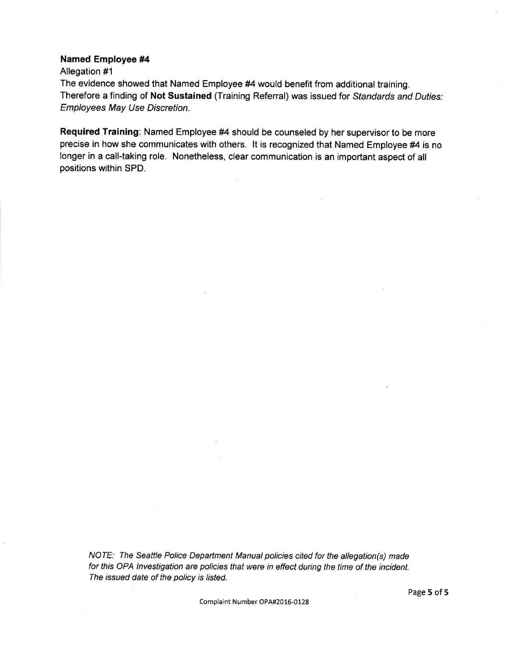## Named Employee #4

Allegation #1

The evidence showed that Named Employee #4 would benefit from additional training. Therefore a finding of Not Sustained (Training Referral) was issued for Standards and Duties: Employees May Use Discretion.

Required Training: Named Employee #4 should be counseled by her supervisor to be more precise in how she communicates with others. lt is recognized that Named Employee #4 is no longer in a call-taking role. Nonetheless, clear communication is an important aspect of all positions within SPD.

NOTE: The Seattle Police Department Manual policies cited for the allegation(s) made for this OPA Investigation are policies that were in effect during the time of the incident. The issued date of the policy is listed.

Complaint Number OPA#2016-0128

Page 5 of 5